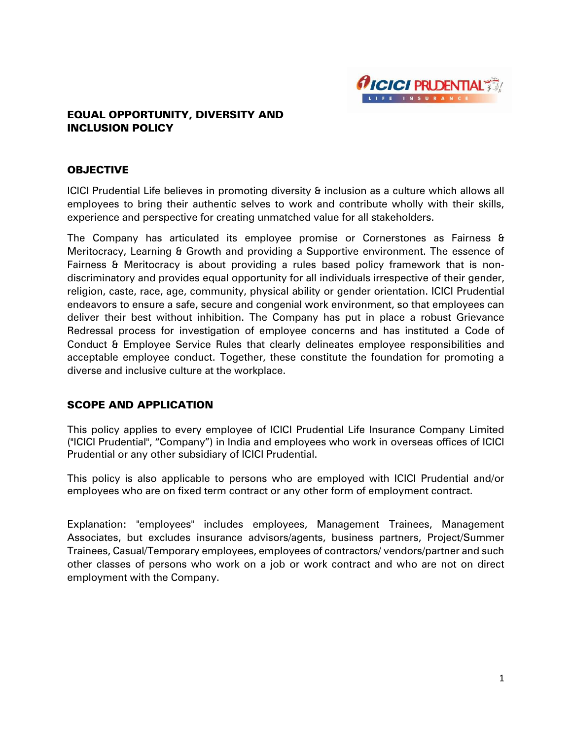

## EQUAL OPPORTUNITY, DIVERSITY AND INCLUSION POLICY

#### **OBJECTIVE**

ICICI Prudential Life believes in promoting diversity & inclusion as a culture which allows all employees to bring their authentic selves to work and contribute wholly with their skills, experience and perspective for creating unmatched value for all stakeholders.

The Company has articulated its employee promise or Cornerstones as Fairness & Meritocracy, Learning & Growth and providing a Supportive environment. The essence of Fairness & Meritocracy is about providing a rules based policy framework that is nondiscriminatory and provides equal opportunity for all individuals irrespective of their gender, religion, caste, race, age, community, physical ability or gender orientation. ICICI Prudential endeavors to ensure a safe, secure and congenial work environment, so that employees can deliver their best without inhibition. The Company has put in place a robust Grievance Redressal process for investigation of employee concerns and has instituted a Code of Conduct & Employee Service Rules that clearly delineates employee responsibilities and acceptable employee conduct. Together, these constitute the foundation for promoting a diverse and inclusive culture at the workplace.

### SCOPE AND APPLICATION

This policy applies to every employee of ICICI Prudential Life Insurance Company Limited ("ICICI Prudential", "Company") in India and employees who work in overseas offices of ICICI Prudential or any other subsidiary of ICICI Prudential.

This policy is also applicable to persons who are employed with ICICI Prudential and/or employees who are on fixed term contract or any other form of employment contract.

Explanation: "employees" includes employees, Management Trainees, Management Associates, but excludes insurance advisors/agents, business partners, Project/Summer Trainees, Casual/Temporary employees, employees of contractors/ vendors/partner and such other classes of persons who work on a job or work contract and who are not on direct employment with the Company.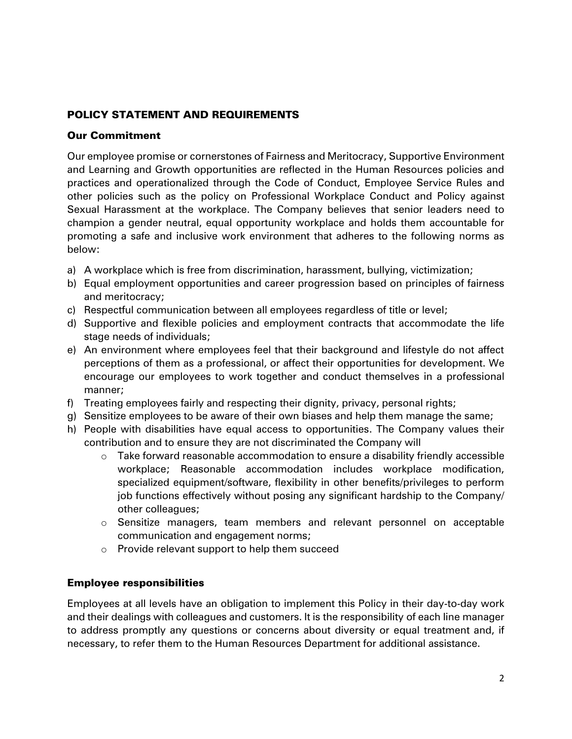# POLICY STATEMENT AND REQUIREMENTS

## Our Commitment

Our employee promise or cornerstones of Fairness and Meritocracy, Supportive Environment and Learning and Growth opportunities are reflected in the Human Resources policies and practices and operationalized through the Code of Conduct, Employee Service Rules and other policies such as the policy on Professional Workplace Conduct and Policy against Sexual Harassment at the workplace. The Company believes that senior leaders need to champion a gender neutral, equal opportunity workplace and holds them accountable for promoting a safe and inclusive work environment that adheres to the following norms as below:

- a) A workplace which is free from discrimination, harassment, bullying, victimization;
- b) Equal employment opportunities and career progression based on principles of fairness and meritocracy;
- c) Respectful communication between all employees regardless of title or level;
- d) Supportive and flexible policies and employment contracts that accommodate the life stage needs of individuals;
- e) An environment where employees feel that their background and lifestyle do not affect perceptions of them as a professional, or affect their opportunities for development. We encourage our employees to work together and conduct themselves in a professional manner;
- f) Treating employees fairly and respecting their dignity, privacy, personal rights;
- g) Sensitize employees to be aware of their own biases and help them manage the same;
- h) People with disabilities have equal access to opportunities. The Company values their contribution and to ensure they are not discriminated the Company will
	- o Take forward reasonable accommodation to ensure a disability friendly accessible workplace; Reasonable accommodation includes workplace modification, specialized equipment/software, flexibility in other benefits/privileges to perform job functions effectively without posing any significant hardship to the Company/ other colleagues;
	- o Sensitize managers, team members and relevant personnel on acceptable communication and engagement norms;
	- o Provide relevant support to help them succeed

# Employee responsibilities

Employees at all levels have an obligation to implement this Policy in their day-to-day work and their dealings with colleagues and customers. It is the responsibility of each line manager to address promptly any questions or concerns about diversity or equal treatment and, if necessary, to refer them to the Human Resources Department for additional assistance.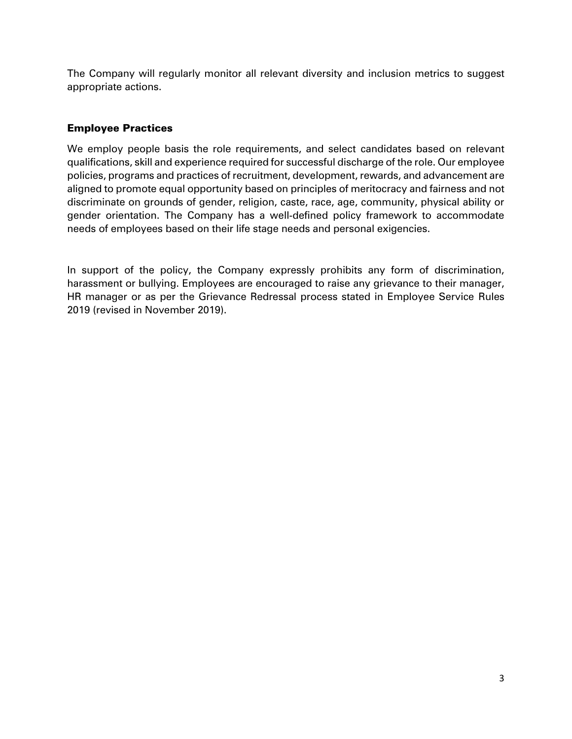The Company will regularly monitor all relevant diversity and inclusion metrics to suggest appropriate actions.

# Employee Practices

We employ people basis the role requirements, and select candidates based on relevant qualifications, skill and experience required for successful discharge of the role. Our employee policies, programs and practices of recruitment, development, rewards, and advancement are aligned to promote equal opportunity based on principles of meritocracy and fairness and not discriminate on grounds of gender, religion, caste, race, age, community, physical ability or gender orientation. The Company has a well-defined policy framework to accommodate needs of employees based on their life stage needs and personal exigencies.

In support of the policy, the Company expressly prohibits any form of discrimination, harassment or bullying. Employees are encouraged to raise any grievance to their manager, HR manager or as per the Grievance Redressal process stated in Employee Service Rules 2019 (revised in November 2019).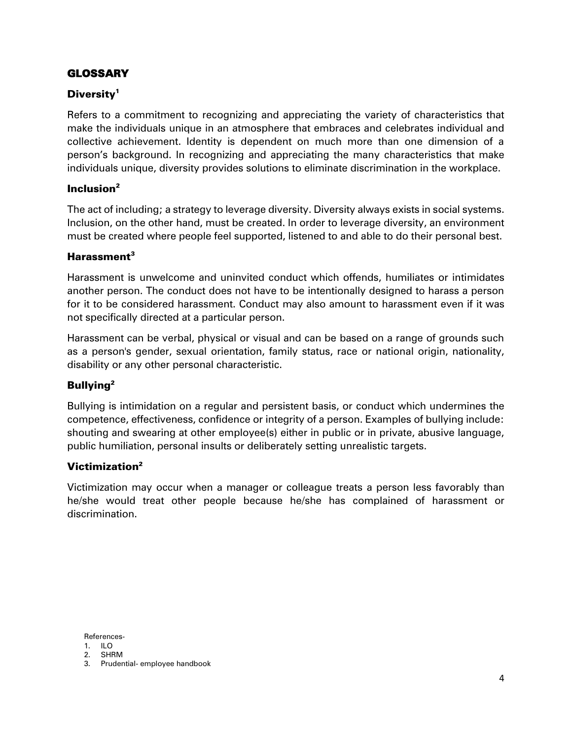# GLOSSARY

# Diversity<sup>1</sup>

Refers to a commitment to recognizing and appreciating the variety of characteristics that make the individuals unique in an atmosphere that embraces and celebrates individual and collective achievement. Identity is dependent on much more than one dimension of a person's background. In recognizing and appreciating the many characteristics that make individuals unique, diversity provides solutions to eliminate discrimination in the workplace.

## Inclusion $2$

The act of including; a strategy to leverage diversity. Diversity always exists in social systems. Inclusion, on the other hand, must be created. In order to leverage diversity, an environment must be created where people feel supported, listened to and able to do their personal best.

### Harassment $3$

Harassment is unwelcome and uninvited conduct which offends, humiliates or intimidates another person. The conduct does not have to be intentionally designed to harass a person for it to be considered harassment. Conduct may also amount to harassment even if it was not specifically directed at a particular person.

Harassment can be verbal, physical or visual and can be based on a range of grounds such as a person's gender, sexual orientation, family status, race or national origin, nationality, disability or any other personal characteristic.

# Bullying<sup>2</sup>

Bullying is intimidation on a regular and persistent basis, or conduct which undermines the competence, effectiveness, confidence or integrity of a person. Examples of bullying include: shouting and swearing at other employee(s) either in public or in private, abusive language, public humiliation, personal insults or deliberately setting unrealistic targets.

# Victimization<sup>2</sup>

Victimization may occur when a manager or colleague treats a person less favorably than he/she would treat other people because he/she has complained of harassment or discrimination.

References-

2. SHRM

<sup>1.</sup> ILO

<sup>3.</sup> Prudential- employee handbook